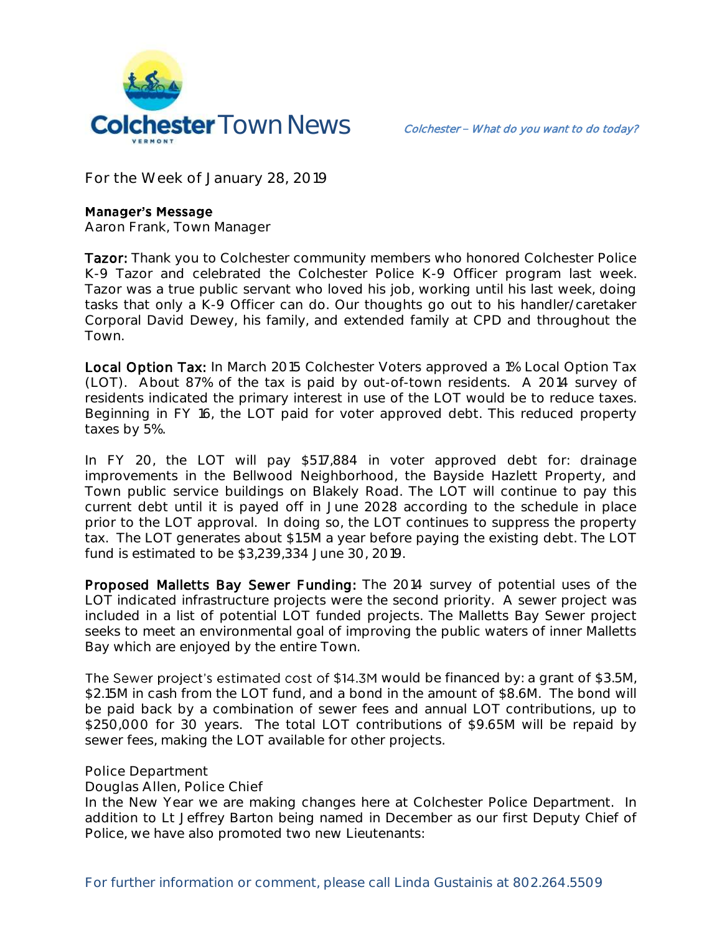

**For the Week of January 28, 2019**

## **Manager's Message**

**Aaron Frank, Town Manager**

Tazor: Thank you to Colchester community members who honored Colchester Police K-9 Tazor and celebrated the Colchester Police K-9 Officer program last week. Tazor was a true public servant who loved his job, working until his last week, doing tasks that only a K-9 Officer can do. Our thoughts go out to his handler/caretaker Corporal David Dewey, his family, and extended family at CPD and throughout the Town.

Local Option Tax: In March 2015 Colchester Voters approved a 1% Local Option Tax (LOT). About 87% of the tax is paid by out-of-town residents. A 2014 survey of residents indicated the primary interest in use of the LOT would be to reduce taxes. Beginning in FY 16, the LOT paid for voter approved debt. This reduced property taxes by 5%.

In FY 20, the LOT will pay \$517,884 in voter approved debt for: drainage improvements in the Bellwood Neighborhood, the Bayside Hazlett Property, and Town public service buildings on Blakely Road. The LOT will continue to pay this current debt until it is payed off in June 2028 according to the schedule in place prior to the LOT approval. In doing so, the LOT continues to suppress the property tax. The LOT generates about \$1.5M a year before paying the existing debt. The LOT fund is estimated to be \$3,239,334 June 30, 2019.

Proposed Malletts Bay Sewer Funding: The 2014 survey of potential uses of the LOT indicated infrastructure projects were the second priority. A sewer project was included in a list of potential LOT funded projects. The Malletts Bay Sewer project seeks to meet an environmental goal of improving the public waters of inner Malletts Bay which are enjoyed by the entire Town.

The Sewer project's estimated cost of \$14.3M would be financed by: a grant of \$3.5M, \$2.15M in cash from the LOT fund, and a bond in the amount of \$8.6M. The bond will be paid back by a combination of sewer fees and annual LOT contributions, up to \$250,000 for 30 years. The total LOT contributions of \$9.65M will be repaid by sewer fees, making the LOT available for other projects.

**Police Department**

**Douglas Allen, Police Chief** 

In the New Year we are making changes here at Colchester Police Department. In addition to Lt Jeffrey Barton being named in December as our first Deputy Chief of Police, we have also promoted two new Lieutenants: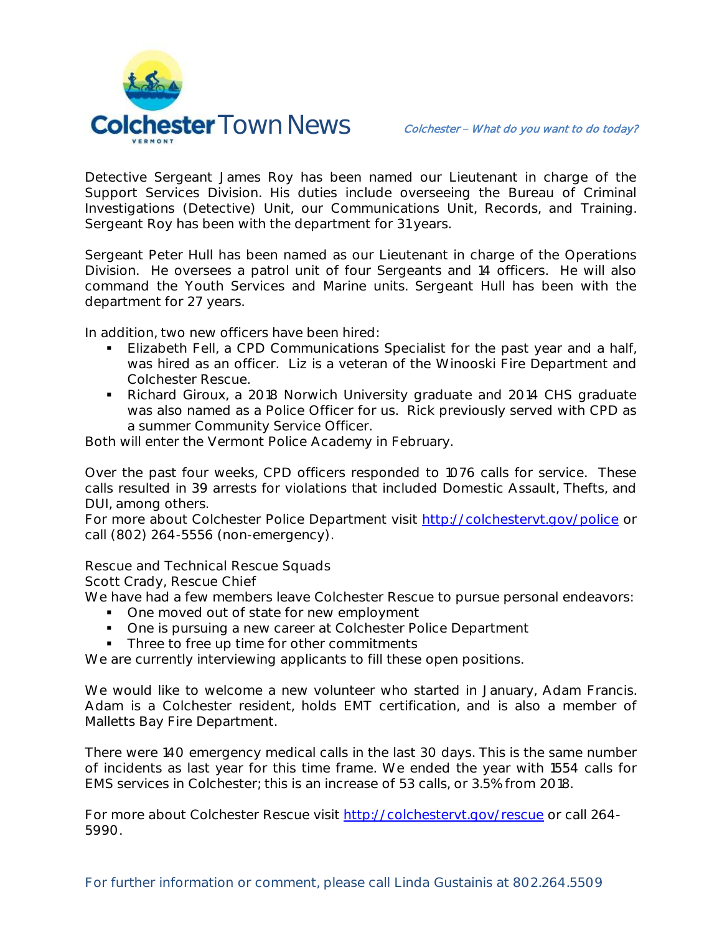

Detective Sergeant James Roy has been named our Lieutenant in charge of the Support Services Division. His duties include overseeing the Bureau of Criminal Investigations (Detective) Unit, our Communications Unit, Records, and Training. Sergeant Roy has been with the department for 31 years.

Sergeant Peter Hull has been named as our Lieutenant in charge of the Operations Division. He oversees a patrol unit of four Sergeants and 14 officers. He will also command the Youth Services and Marine units. Sergeant Hull has been with the department for 27 years.

In addition, two new officers have been hired:

- **Elizabeth Fell, a CPD Communications Specialist for the past year and a half,** was hired as an officer. Liz is a veteran of the Winooski Fire Department and Colchester Rescue.
- Richard Giroux, a 2018 Norwich University graduate and 2014 CHS graduate was also named as a Police Officer for us. Rick previously served with CPD as a summer Community Service Officer.

Both will enter the Vermont Police Academy in February.

Over the past four weeks, CPD officers responded to 1076 calls for service. These calls resulted in 39 arrests for violations that included Domestic Assault, Thefts, and DUI, among others.

For more about Colchester Police Department visit<http://colchestervt.gov/police> or call (802) 264-5556 (non-emergency).

**Rescue and Technical Rescue Squads**

**Scott Crady, Rescue Chief**

We have had a few members leave Colchester Rescue to pursue personal endeavors:

- One moved out of state for new employment
- One is pursuing a new career at Colchester Police Department
- Three to free up time for other commitments

We are currently interviewing applicants to fill these open positions.

We would like to welcome a new volunteer who started in January, Adam Francis. Adam is a Colchester resident, holds EMT certification, and is also a member of Malletts Bay Fire Department.

There were 140 emergency medical calls in the last 30 days. This is the same number of incidents as last year for this time frame. We ended the year with 1554 calls for EMS services in Colchester; this is an increase of 53 calls, or 3.5% from 2018.

For more about Colchester Rescue visit<http://colchestervt.gov/rescue> or call 264-5990.